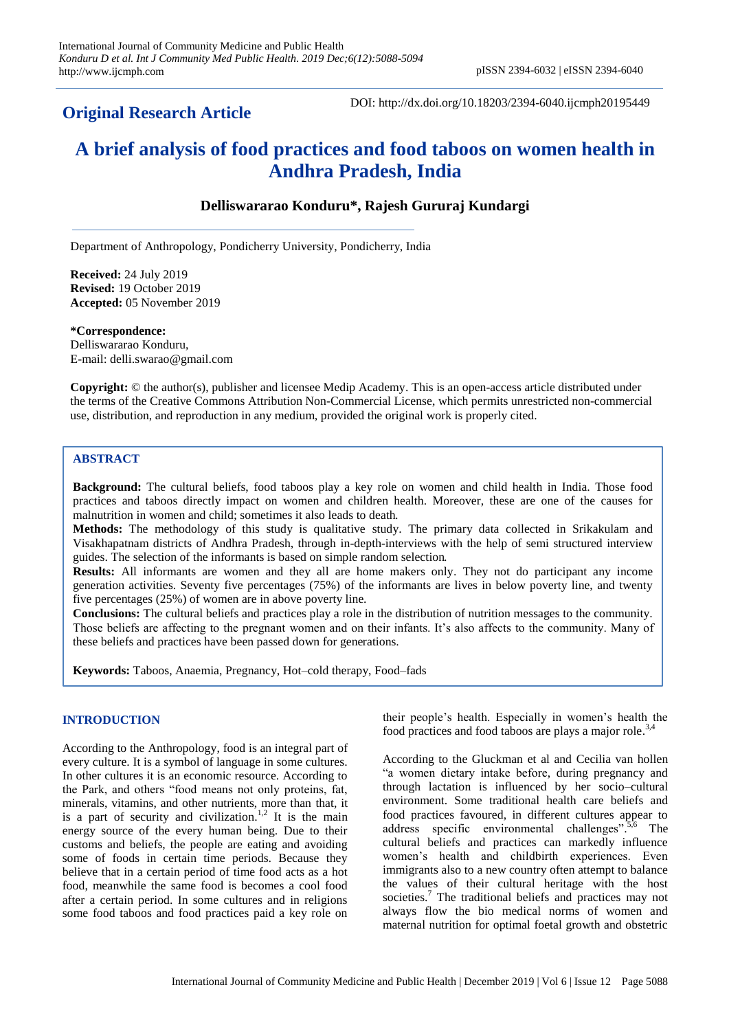# **Original Research Article**

DOI: http://dx.doi.org/10.18203/2394-6040.ijcmph20195449

# **A brief analysis of food practices and food taboos on women health in Andhra Pradesh, India**

# **Delliswararao Konduru\*, Rajesh Gururaj Kundargi**

Department of Anthropology, Pondicherry University, Pondicherry, India

**Received:** 24 July 2019 **Revised:** 19 October 2019 **Accepted:** 05 November 2019

**\*Correspondence:** Delliswararao Konduru, E-mail: delli.swarao@gmail.com

**Copyright:** © the author(s), publisher and licensee Medip Academy. This is an open-access article distributed under the terms of the Creative Commons Attribution Non-Commercial License, which permits unrestricted non-commercial use, distribution, and reproduction in any medium, provided the original work is properly cited.

# **ABSTRACT**

**Background:** The cultural beliefs, food taboos play a key role on women and child health in India. Those food practices and taboos directly impact on women and children health. Moreover, these are one of the causes for malnutrition in women and child; sometimes it also leads to death.

**Methods:** The methodology of this study is qualitative study. The primary data collected in Srikakulam and Visakhapatnam districts of Andhra Pradesh, through in-depth-interviews with the help of semi structured interview guides. The selection of the informants is based on simple random selection.

**Results:** All informants are women and they all are home makers only. They not do participant any income generation activities. Seventy five percentages (75%) of the informants are lives in below poverty line, and twenty five percentages (25%) of women are in above poverty line.

**Conclusions:** The cultural beliefs and practices play a role in the distribution of nutrition messages to the community. Those beliefs are affecting to the pregnant women and on their infants. It's also affects to the community. Many of these beliefs and practices have been passed down for generations.

**Keywords:** Taboos, Anaemia, Pregnancy, Hot–cold therapy, Food–fads

# **INTRODUCTION**

According to the Anthropology, food is an integral part of every culture. It is a symbol of language in some cultures. In other cultures it is an economic resource. According to the Park, and others "food means not only proteins, fat, minerals, vitamins, and other nutrients, more than that, it is a part of security and civilization.<sup>1,2</sup> It is the main energy source of the every human being. Due to their customs and beliefs, the people are eating and avoiding some of foods in certain time periods. Because they believe that in a certain period of time food acts as a hot food, meanwhile the same food is becomes a cool food after a certain period. In some cultures and in religions some food taboos and food practices paid a key role on

their people's health. Especially in women's health the food practices and food taboos are plays a major role. 3,4

According to the Gluckman et al and Cecilia van hollen "a women dietary intake before, during pregnancy and through lactation is influenced by her socio–cultural environment. Some traditional health care beliefs and food practices favoured, in different cultures appear to address specific environmental challenges".<sup>5,6</sup> The cultural beliefs and practices can markedly influence women's health and childbirth experiences. Even immigrants also to a new country often attempt to balance the values of their cultural heritage with the host societies.<sup>7</sup> The traditional beliefs and practices may not always flow the bio medical norms of women and maternal nutrition for optimal foetal growth and obstetric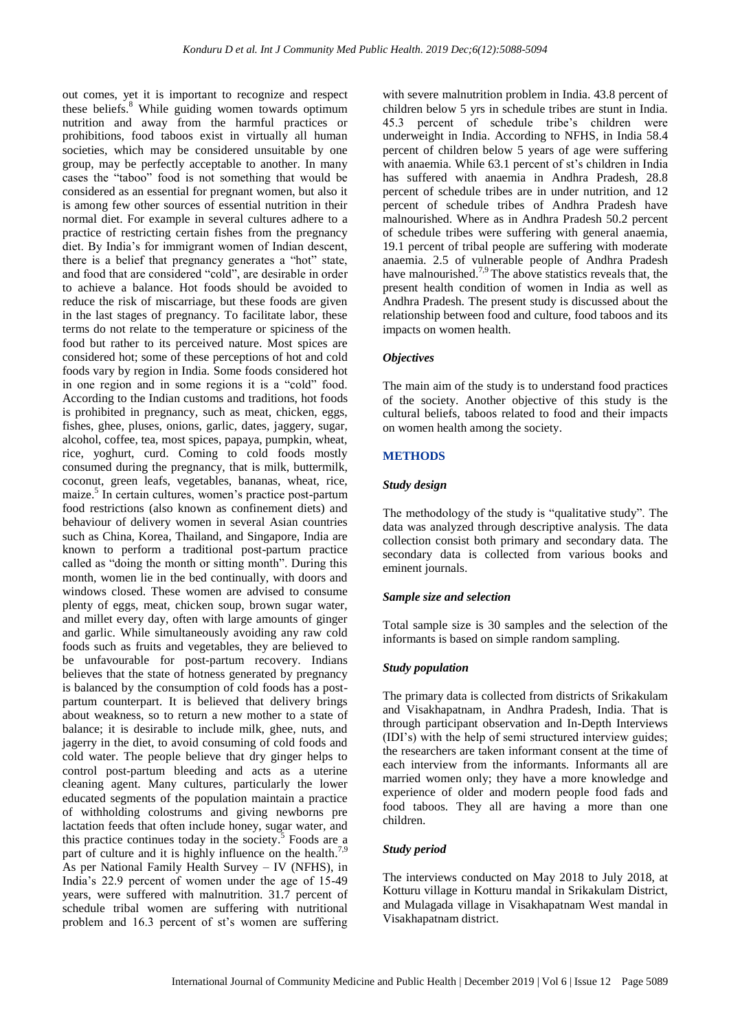out comes, yet it is important to recognize and respect these beliefs. <sup>8</sup> While guiding women towards optimum nutrition and away from the harmful practices or prohibitions, food taboos exist in virtually all human societies, which may be considered unsuitable by one group, may be perfectly acceptable to another. In many cases the "taboo" food is not something that would be considered as an essential for pregnant women, but also it is among few other sources of essential nutrition in their normal diet. For example in several cultures adhere to a practice of restricting certain fishes from the pregnancy diet. By India's for immigrant women of Indian descent, there is a belief that pregnancy generates a "hot" state, and food that are considered "cold", are desirable in order to achieve a balance. Hot foods should be avoided to reduce the risk of miscarriage, but these foods are given in the last stages of pregnancy. To facilitate labor, these terms do not relate to the temperature or spiciness of the food but rather to its perceived nature. Most spices are considered hot; some of these perceptions of hot and cold foods vary by region in India. Some foods considered hot in one region and in some regions it is a "cold" food. According to the Indian customs and traditions, hot foods is prohibited in pregnancy, such as meat, chicken, eggs, fishes, ghee, pluses, onions, garlic, dates, jaggery, sugar, alcohol, coffee, tea, most spices, papaya, pumpkin, wheat, rice, yoghurt, curd. Coming to cold foods mostly consumed during the pregnancy, that is milk, buttermilk, coconut, green leafs, vegetables, bananas, wheat, rice, maize. 5 In certain cultures, women's practice post-partum food restrictions (also known as confinement diets) and behaviour of delivery women in several Asian countries such as China, Korea, Thailand, and Singapore, India are known to perform a traditional post-partum practice called as "doing the month or sitting month". During this month, women lie in the bed continually, with doors and windows closed. These women are advised to consume plenty of eggs, meat, chicken soup, brown sugar water, and millet every day, often with large amounts of ginger and garlic. While simultaneously avoiding any raw cold foods such as fruits and vegetables, they are believed to be unfavourable for post-partum recovery. Indians believes that the state of hotness generated by pregnancy is balanced by the consumption of cold foods has a postpartum counterpart. It is believed that delivery brings about weakness, so to return a new mother to a state of balance; it is desirable to include milk, ghee, nuts, and jagerry in the diet, to avoid consuming of cold foods and cold water. The people believe that dry ginger helps to control post-partum bleeding and acts as a uterine cleaning agent. Many cultures, particularly the lower educated segments of the population maintain a practice of withholding colostrums and giving newborns pre lactation feeds that often include honey, sugar water, and this practice continues today in the society. 5 Foods are a part of culture and it is highly influence on the health.<sup>7,9</sup> As per National Family Health Survey – IV (NFHS), in India's 22.9 percent of women under the age of 15-49 years, were suffered with malnutrition. 31.7 percent of schedule tribal women are suffering with nutritional problem and 16.3 percent of st's women are suffering

with severe malnutrition problem in India. 43.8 percent of children below 5 yrs in schedule tribes are stunt in India. 45.3 percent of schedule tribe's children were underweight in India. According to NFHS, in India 58.4 percent of children below 5 years of age were suffering with anaemia. While 63.1 percent of st's children in India has suffered with anaemia in Andhra Pradesh, 28.8 percent of schedule tribes are in under nutrition, and 12 percent of schedule tribes of Andhra Pradesh have malnourished. Where as in Andhra Pradesh 50.2 percent of schedule tribes were suffering with general anaemia, 19.1 percent of tribal people are suffering with moderate anaemia. 2.5 of vulnerable people of Andhra Pradesh have malnourished.<sup>7,9</sup> The above statistics reveals that, the present health condition of women in India as well as Andhra Pradesh. The present study is discussed about the relationship between food and culture, food taboos and its impacts on women health.

#### *Objectives*

The main aim of the study is to understand food practices of the society. Another objective of this study is the cultural beliefs, taboos related to food and their impacts on women health among the society.

#### **METHODS**

#### *Study design*

The methodology of the study is "qualitative study". The data was analyzed through descriptive analysis. The data collection consist both primary and secondary data. The secondary data is collected from various books and eminent journals.

#### *Sample size and selection*

Total sample size is 30 samples and the selection of the informants is based on simple random sampling.

#### *Study population*

The primary data is collected from districts of Srikakulam and Visakhapatnam, in Andhra Pradesh, India. That is through participant observation and In-Depth Interviews (IDI's) with the help of semi structured interview guides; the researchers are taken informant consent at the time of each interview from the informants. Informants all are married women only; they have a more knowledge and experience of older and modern people food fads and food taboos. They all are having a more than one children.

### *Study period*

The interviews conducted on May 2018 to July 2018, at Kotturu village in Kotturu mandal in Srikakulam District, and Mulagada village in Visakhapatnam West mandal in Visakhapatnam district.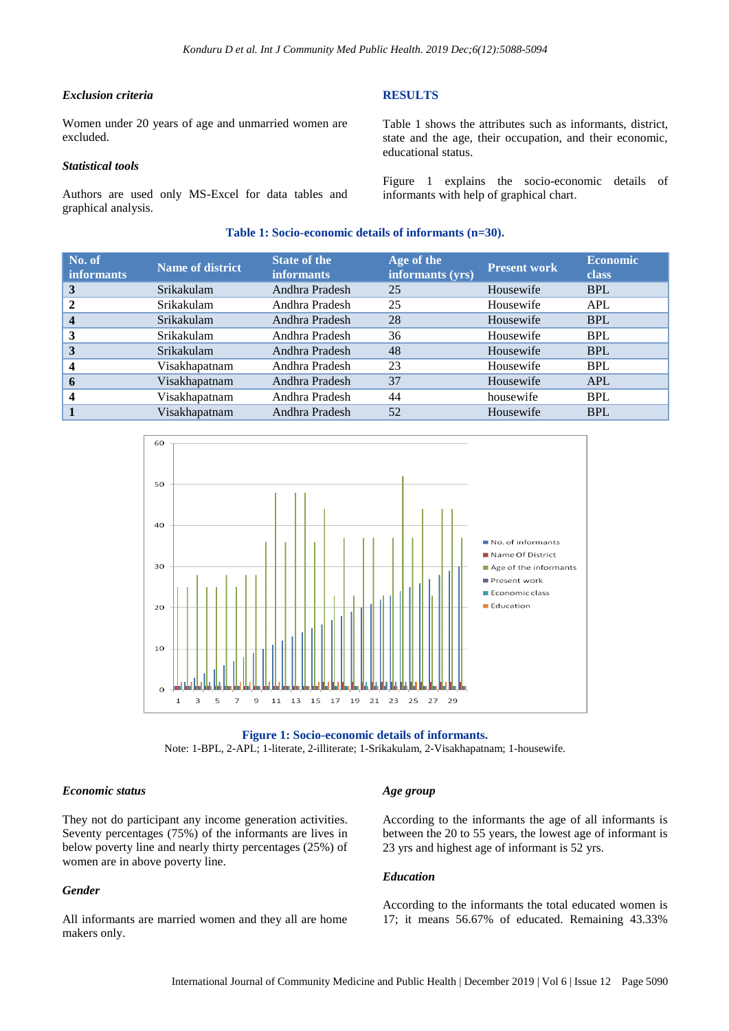#### *Exclusion criteria*

Women under 20 years of age and unmarried women are excluded.

#### *Statistical tools*

Authors are used only MS-Excel for data tables and graphical analysis.

#### **RESULTS**

Table 1 shows the attributes such as informants, district, state and the age, their occupation, and their economic, educational status.

Figure 1 explains the socio-economic details of informants with help of graphical chart.

#### **Table 1: Socio-economic details of informants (n=30).**

| No. of<br><b>informants</b> | <b>Name of district</b> | <b>State of the</b><br><b>informants</b> | Age of the<br>informants (yrs) | <b>Present work</b> | <b>Economic</b><br><b>class</b> |
|-----------------------------|-------------------------|------------------------------------------|--------------------------------|---------------------|---------------------------------|
| 3                           | Srikakulam              | Andhra Pradesh                           | 25                             | Housewife           | <b>BPL</b>                      |
| $\mathbf 2$                 | Srikakulam              | Andhra Pradesh                           | 25                             | Housewife           | <b>APL</b>                      |
| $\overline{\mathbf{4}}$     | Srikakulam              | Andhra Pradesh                           | 28                             | Housewife           | <b>BPL</b>                      |
| 3                           | Srikakulam              | Andhra Pradesh                           | 36                             | Housewife           | <b>BPL</b>                      |
| 3                           | Srikakulam              | Andhra Pradesh                           | 48                             | Housewife           | <b>BPL</b>                      |
| $\overline{\mathbf{4}}$     | Visakhapatnam           | Andhra Pradesh                           | 23                             | Housewife           | <b>BPL</b>                      |
| 6                           | Visakhapatnam           | Andhra Pradesh                           | 37                             | Housewife           | <b>APL</b>                      |
| $\overline{\mathbf{4}}$     | Visakhapatnam           | Andhra Pradesh                           | 44                             | housewife           | <b>BPL</b>                      |
|                             | Visakhapatnam           | Andhra Pradesh                           | 52                             | Housewife           | <b>BPL</b>                      |
|                             |                         |                                          |                                |                     |                                 |





#### *Economic status*

They not do participant any income generation activities. Seventy percentages (75%) of the informants are lives in below poverty line and nearly thirty percentages (25%) of women are in above poverty line.

# *Gender*

All informants are married women and they all are home makers only.

#### *Age group*

According to the informants the age of all informants is between the 20 to 55 years, the lowest age of informant is 23 yrs and highest age of informant is 52 yrs.

#### *Education*

According to the informants the total educated women is 17; it means 56.67% of educated. Remaining 43.33%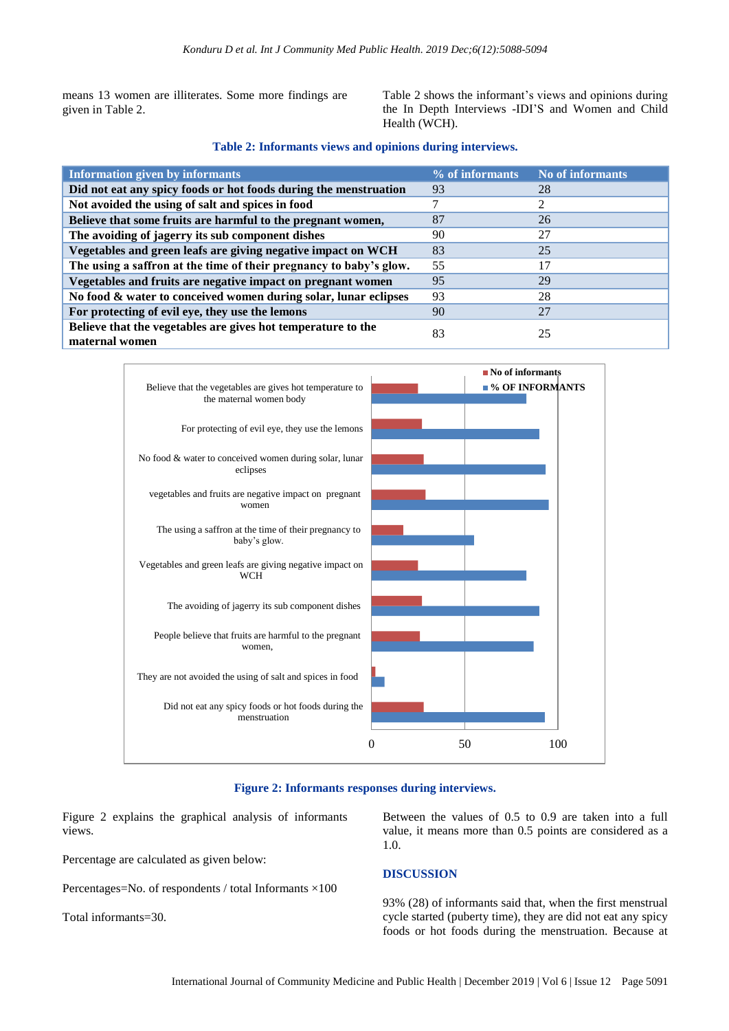means 13 women are illiterates. Some more findings are given in Table 2.

Table 2 shows the informant's views and opinions during the In Depth Interviews -IDI'S and Women and Child Health (WCH).

#### **Table 2: Informants views and opinions during interviews.**

| <b>Information given by informants</b>                                         | % of informants | No of informants |
|--------------------------------------------------------------------------------|-----------------|------------------|
| Did not eat any spicy foods or hot foods during the menstruation               | 93              | 28               |
| Not avoided the using of salt and spices in food                               |                 |                  |
| Believe that some fruits are harmful to the pregnant women,                    | 87              | 26               |
| The avoiding of jagerry its sub component dishes                               | 90              | 27               |
| Vegetables and green leafs are giving negative impact on WCH                   | 83              | 25               |
| The using a saffron at the time of their pregnancy to baby's glow.             | 55              | 17               |
| Vegetables and fruits are negative impact on pregnant women                    | 95              | 29               |
| No food & water to conceived women during solar, lunar eclipses                | 93              | 28               |
| For protecting of evil eye, they use the lemons                                | 90              | 27               |
| Believe that the vegetables are gives hot temperature to the<br>maternal women | 83              | 25               |



# **Figure 2: Informants responses during interviews.**

Figure 2 explains the graphical analysis of informants views.

Percentage are calculated as given below:

Percentages=No. of respondents / total Informants ×100

Total informants=30.

Between the values of 0.5 to 0.9 are taken into a full value, it means more than 0.5 points are considered as a 1.0.

# **DISCUSSION**

93% (28) of informants said that, when the first menstrual cycle started (puberty time), they are did not eat any spicy foods or hot foods during the menstruation. Because at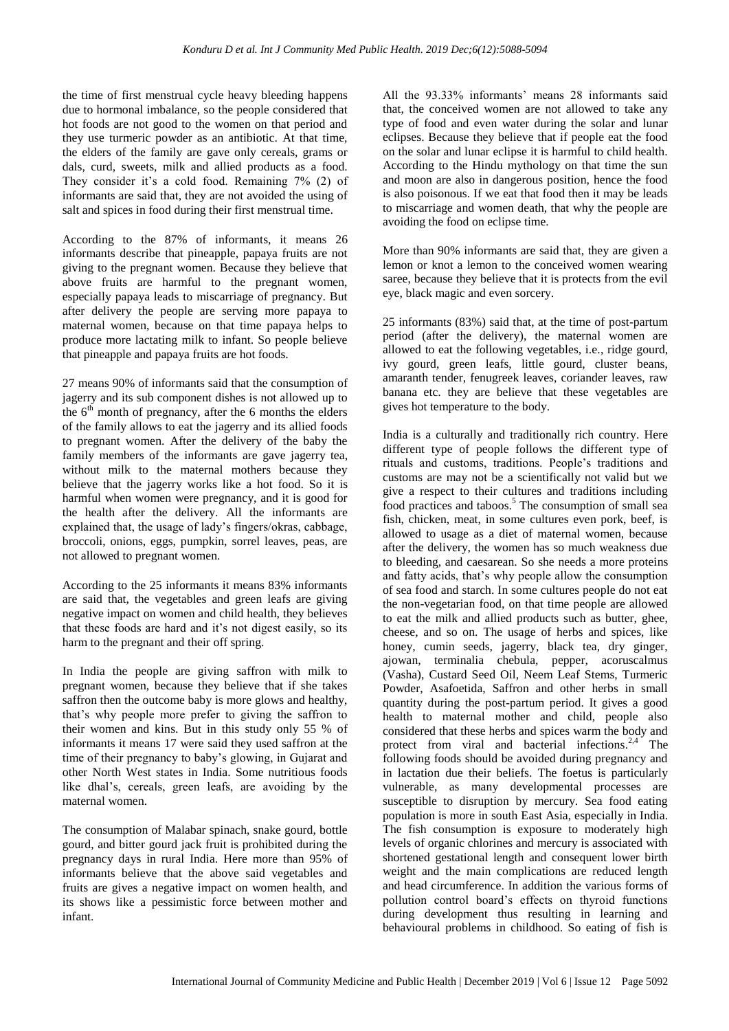the time of first menstrual cycle heavy bleeding happens due to hormonal imbalance, so the people considered that hot foods are not good to the women on that period and they use turmeric powder as an antibiotic. At that time, the elders of the family are gave only cereals, grams or dals, curd, sweets, milk and allied products as a food. They consider it's a cold food. Remaining 7% (2) of informants are said that, they are not avoided the using of salt and spices in food during their first menstrual time.

According to the 87% of informants, it means 26 informants describe that pineapple, papaya fruits are not giving to the pregnant women. Because they believe that above fruits are harmful to the pregnant women, especially papaya leads to miscarriage of pregnancy. But after delivery the people are serving more papaya to maternal women, because on that time papaya helps to produce more lactating milk to infant. So people believe that pineapple and papaya fruits are hot foods.

27 means 90% of informants said that the consumption of jagerry and its sub component dishes is not allowed up to the  $6<sup>th</sup>$  month of pregnancy, after the 6 months the elders of the family allows to eat the jagerry and its allied foods to pregnant women. After the delivery of the baby the family members of the informants are gave jagerry tea, without milk to the maternal mothers because they believe that the jagerry works like a hot food. So it is harmful when women were pregnancy, and it is good for the health after the delivery. All the informants are explained that, the usage of lady's fingers/okras, cabbage, broccoli, onions, eggs, pumpkin, sorrel leaves, peas, are not allowed to pregnant women.

According to the 25 informants it means 83% informants are said that, the vegetables and green leafs are giving negative impact on women and child health, they believes that these foods are hard and it's not digest easily, so its harm to the pregnant and their off spring.

In India the people are giving saffron with milk to pregnant women, because they believe that if she takes saffron then the outcome baby is more glows and healthy, that's why people more prefer to giving the saffron to their women and kins. But in this study only 55 % of informants it means 17 were said they used saffron at the time of their pregnancy to baby's glowing, in Gujarat and other North West states in India. Some nutritious foods like dhal's, cereals, green leafs, are avoiding by the maternal women.

The consumption of Malabar spinach, snake gourd, bottle gourd, and bitter gourd jack fruit is prohibited during the pregnancy days in rural India. Here more than 95% of informants believe that the above said vegetables and fruits are gives a negative impact on women health, and its shows like a pessimistic force between mother and infant.

All the 93.33% informants' means 28 informants said that, the conceived women are not allowed to take any type of food and even water during the solar and lunar eclipses. Because they believe that if people eat the food on the solar and lunar eclipse it is harmful to child health. According to the Hindu mythology on that time the sun and moon are also in dangerous position, hence the food is also poisonous. If we eat that food then it may be leads to miscarriage and women death, that why the people are avoiding the food on eclipse time.

More than 90% informants are said that, they are given a lemon or knot a lemon to the conceived women wearing saree, because they believe that it is protects from the evil eye, black magic and even sorcery.

25 informants (83%) said that, at the time of post-partum period (after the delivery), the maternal women are allowed to eat the following vegetables, i.e., ridge gourd, ivy gourd, green leafs, little gourd, cluster beans, amaranth tender, fenugreek leaves, coriander leaves, raw banana etc. they are believe that these vegetables are gives hot temperature to the body.

India is a culturally and traditionally rich country. Here different type of people follows the different type of rituals and customs, traditions. People's traditions and customs are may not be a scientifically not valid but we give a respect to their cultures and traditions including food practices and taboos.<sup>5</sup> The consumption of small sea fish, chicken, meat, in some cultures even pork, beef, is allowed to usage as a diet of maternal women, because after the delivery, the women has so much weakness due to bleeding, and caesarean. So she needs a more proteins and fatty acids, that's why people allow the consumption of sea food and starch. In some cultures people do not eat the non-vegetarian food, on that time people are allowed to eat the milk and allied products such as butter, ghee, cheese, and so on. The usage of herbs and spices, like honey, cumin seeds, jagerry, black tea, dry ginger, ajowan, terminalia chebula, pepper, acoruscalmus (Vasha), Custard Seed Oil, Neem Leaf Stems, Turmeric Powder, Asafoetida, Saffron and other herbs in small quantity during the post-partum period. It gives a good health to maternal mother and child, people also considered that these herbs and spices warm the body and protect from viral and bacterial infections.<sup>2,4</sup> The following foods should be avoided during pregnancy and in lactation due their beliefs. The foetus is particularly vulnerable, as many developmental processes are susceptible to disruption by mercury. Sea food eating population is more in south East Asia, especially in India. The fish consumption is exposure to moderately high levels of organic chlorines and mercury is associated with shortened gestational length and consequent lower birth weight and the main complications are reduced length and head circumference. In addition the various forms of pollution control board's effects on thyroid functions during development thus resulting in learning and behavioural problems in childhood. So eating of fish is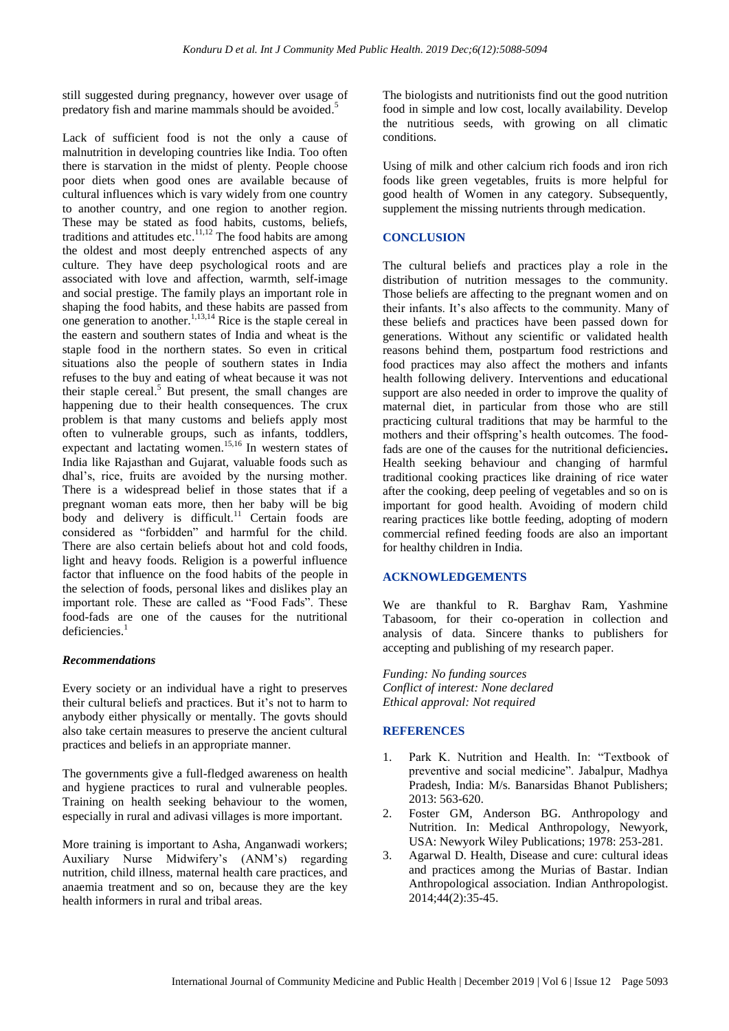still suggested during pregnancy, however over usage of predatory fish and marine mammals should be avoided.<sup>5</sup>

Lack of sufficient food is not the only a cause of malnutrition in developing countries like India. Too often there is starvation in the midst of plenty. People choose poor diets when good ones are available because of cultural influences which is vary widely from one country to another country, and one region to another region. These may be stated as food habits, customs, beliefs, traditions and attitudes etc. $\frac{11,12}{1}$  The food habits are among the oldest and most deeply entrenched aspects of any culture. They have deep psychological roots and are associated with love and affection, warmth, self-image and social prestige. The family plays an important role in shaping the food habits, and these habits are passed from one generation to another. 1,13,14 Rice is the staple cereal in the eastern and southern states of India and wheat is the staple food in the northern states. So even in critical situations also the people of southern states in India refuses to the buy and eating of wheat because it was not their staple cereal. <sup>5</sup> But present, the small changes are happening due to their health consequences. The crux problem is that many customs and beliefs apply most often to vulnerable groups, such as infants, toddlers, expectant and lactating women. 15,16 In western states of India like Rajasthan and Gujarat, valuable foods such as dhal's, rice, fruits are avoided by the nursing mother. There is a widespread belief in those states that if a pregnant woman eats more, then her baby will be big body and delivery is difficult.<sup>11</sup> Certain foods are considered as "forbidden" and harmful for the child. There are also certain beliefs about hot and cold foods, light and heavy foods. Religion is a powerful influence factor that influence on the food habits of the people in the selection of foods, personal likes and dislikes play an important role. These are called as "Food Fads". These food-fads are one of the causes for the nutritional deficiencies. 1

# *Recommendations*

Every society or an individual have a right to preserves their cultural beliefs and practices. But it's not to harm to anybody either physically or mentally. The govts should also take certain measures to preserve the ancient cultural practices and beliefs in an appropriate manner.

The governments give a full-fledged awareness on health and hygiene practices to rural and vulnerable peoples. Training on health seeking behaviour to the women, especially in rural and adivasi villages is more important.

More training is important to Asha, Anganwadi workers; Auxiliary Nurse Midwifery's (ANM's) regarding nutrition, child illness, maternal health care practices, and anaemia treatment and so on, because they are the key health informers in rural and tribal areas.

The biologists and nutritionists find out the good nutrition food in simple and low cost, locally availability. Develop the nutritious seeds, with growing on all climatic conditions.

Using of milk and other calcium rich foods and iron rich foods like green vegetables, fruits is more helpful for good health of Women in any category. Subsequently, supplement the missing nutrients through medication.

# **CONCLUSION**

The cultural beliefs and practices play a role in the distribution of nutrition messages to the community. Those beliefs are affecting to the pregnant women and on their infants. It's also affects to the community. Many of these beliefs and practices have been passed down for generations. Without any scientific or validated health reasons behind them, postpartum food restrictions and food practices may also affect the mothers and infants health following delivery. Interventions and educational support are also needed in order to improve the quality of maternal diet, in particular from those who are still practicing cultural traditions that may be harmful to the mothers and their offspring's health outcomes. The foodfads are one of the causes for the nutritional deficiencies**.** Health seeking behaviour and changing of harmful traditional cooking practices like draining of rice water after the cooking, deep peeling of vegetables and so on is important for good health. Avoiding of modern child rearing practices like bottle feeding, adopting of modern commercial refined feeding foods are also an important for healthy children in India.

# **ACKNOWLEDGEMENTS**

We are thankful to R. Barghav Ram, Yashmine Tabasoom, for their co-operation in collection and analysis of data. Sincere thanks to publishers for accepting and publishing of my research paper.

*Funding: No funding sources Conflict of interest: None declared Ethical approval: Not required*

# **REFERENCES**

- 1. Park K. Nutrition and Health. In: "Textbook of preventive and social medicine". Jabalpur, Madhya Pradesh, India: M/s. Banarsidas Bhanot Publishers; 2013: 563-620.
- 2. Foster GM, Anderson BG. Anthropology and Nutrition. In: Medical Anthropology, Newyork, USA: Newyork Wiley Publications; 1978: 253-281.
- 3. Agarwal D. Health, Disease and cure: cultural ideas and practices among the Murias of Bastar. Indian Anthropological association. Indian Anthropologist. 2014;44(2):35-45.